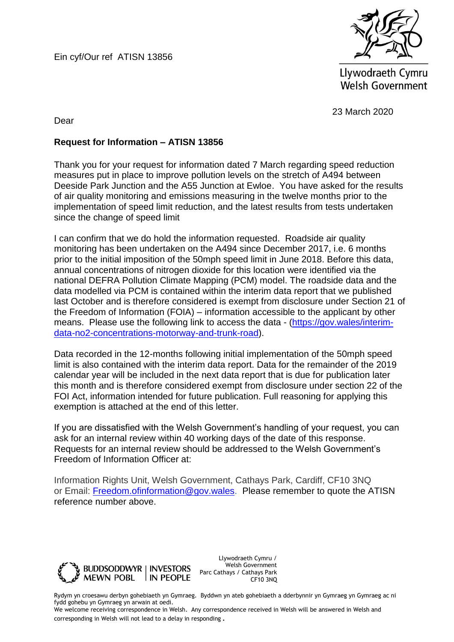Ein cyf/Our ref ATISN 13856



Llywodraeth Cymru **Welsh Government** 

23 March 2020

Dear

## **Request for Information – ATISN 13856**

Thank you for your request for information dated 7 March regarding speed reduction measures put in place to improve pollution levels on the stretch of A494 between Deeside Park Junction and the A55 Junction at Ewloe. You have asked for the results of air quality monitoring and emissions measuring in the twelve months prior to the implementation of speed limit reduction, and the latest results from tests undertaken since the change of speed limit

I can confirm that we do hold the information requested. Roadside air quality monitoring has been undertaken on the A494 since December 2017, i.e. 6 months prior to the initial imposition of the 50mph speed limit in June 2018. Before this data, annual concentrations of nitrogen dioxide for this location were identified via the national DEFRA Pollution Climate Mapping (PCM) model. The roadside data and the data modelled via PCM is contained within the interim data report that we published last October and is therefore considered is exempt from disclosure under Section 21 of the Freedom of Information (FOIA) – information accessible to the applicant by other means. Please use the following link to access the data - [\(https://gov.wales/interim](https://gov.wales/interim-data-no2-concentrations-motorway-and-trunk-road)[data-no2-concentrations-motorway-and-trunk-road\)](https://gov.wales/interim-data-no2-concentrations-motorway-and-trunk-road).

Data recorded in the 12-months following initial implementation of the 50mph speed limit is also contained with the interim data report. Data for the remainder of the 2019 calendar year will be included in the next data report that is due for publication later this month and is therefore considered exempt from disclosure under section 22 of the FOI Act, information intended for future publication. Full reasoning for applying this exemption is attached at the end of this letter.

If you are dissatisfied with the Welsh Government's handling of your request, you can ask for an internal review within 40 working days of the date of this response. Requests for an internal review should be addressed to the Welsh Government's Freedom of Information Officer at:

Information Rights Unit, Welsh Government, Cathays Park, Cardiff, CF10 3NQ or Email: [Freedom.ofinformation@gov.wales.](mailto:Freedom.ofinformation@gov.wales) Please remember to quote the ATISN reference number above.



Llywodraeth Cymru / Welsh Government Parc Cathays / Cathays Park CF10 3NQ

Rydym yn croesawu derbyn gohebiaeth yn Gymraeg. Byddwn yn ateb gohebiaeth a dderbynnir yn Gymraeg yn Gymraeg ac ni fydd gohebu yn Gymraeg yn arwain at oedi.

We welcome receiving correspondence in Welsh. Any correspondence received in Welsh will be answered in Welsh and corresponding in Welsh will not lead to a delay in responding.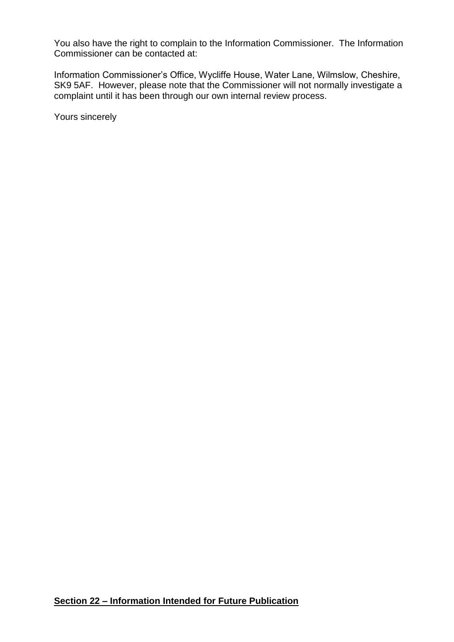You also have the right to complain to the Information Commissioner. The Information Commissioner can be contacted at:

Information Commissioner's Office, Wycliffe House, Water Lane, Wilmslow, Cheshire, SK9 5AF. However, please note that the Commissioner will not normally investigate a complaint until it has been through our own internal review process.

Yours sincerely